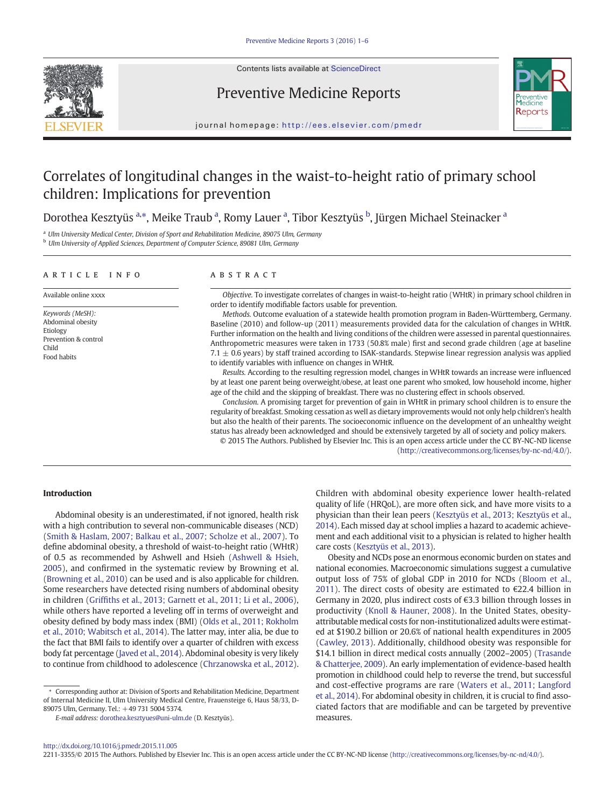

Contents lists available at [ScienceDirect](http://www.sciencedirect.com/science/journal/)

# Preventive Medicine Reports



journal homepage: <http://ees.elsevier.com/pmedr>

# Correlates of longitudinal changes in the waist-to-height ratio of primary school children: Implications for prevention

Dorothea Kesztyüs <sup>a,</sup>\*, Meike Traub <sup>a</sup>, Romy Lauer <sup>a</sup>, Tibor Kesztyüs <sup>b</sup>, Jürgen Michael Steinacker <sup>a</sup>

<sup>a</sup> Ulm University Medical Center, Division of Sport and Rehabilitation Medicine, 89075 Ulm, Germany

<sup>b</sup> Ulm University of Applied Sciences, Department of Computer Science, 89081 Ulm, Germany

#### article info abstract

Keywords (MeSH): Abdominal obesity Etiology Prevention & control Child Food habits

Available online xxxx Objective. To investigate correlates of changes in waist-to-height ratio (WHtR) in primary school children in order to identify modifiable factors usable for prevention.

> Methods. Outcome evaluation of a statewide health promotion program in Baden-Württemberg, Germany. Baseline (2010) and follow-up (2011) measurements provided data for the calculation of changes in WHtR. Further information on the health and living conditions of the children were assessed in parental questionnaires. Anthropometric measures were taken in 1733 (50.8% male) first and second grade children (age at baseline 7.1  $\pm$  0.6 years) by staff trained according to ISAK-standards. Stepwise linear regression analysis was applied to identify variables with influence on changes in WHtR.

> Results. According to the resulting regression model, changes in WHtR towards an increase were influenced by at least one parent being overweight/obese, at least one parent who smoked, low household income, higher age of the child and the skipping of breakfast. There was no clustering effect in schools observed.

> Conclusion. A promising target for prevention of gain in WHtR in primary school children is to ensure the regularity of breakfast. Smoking cessation as well as dietary improvements would not only help children's health but also the health of their parents. The socioeconomic influence on the development of an unhealthy weight status has already been acknowledged and should be extensively targeted by all of society and policy makers.

© 2015 The Authors. Published by Elsevier Inc. This is an open access article under the CC BY-NC-ND license ([http://creativecommons.org/licenses/by-nc-nd/4.0/\)](http://creativecommons.org/licenses/bycd/4.0/).

# Introduction

Abdominal obesity is an underestimated, if not ignored, health risk with a high contribution to several non-communicable diseases (NCD) [\(Smith & Haslam, 2007; Balkau et al., 2007; Scholze et al., 2007\)](#page-5-0). To define abdominal obesity, a threshold of waist-to-height ratio (WHtR) of 0.5 as recommended by Ashwell and Hsieh [\(Ashwell & Hsieh,](#page-4-0) [2005\)](#page-4-0), and confirmed in the systematic review by Browning et al. [\(Browning et al., 2010](#page-4-0)) can be used and is also applicable for children. Some researchers have detected rising numbers of abdominal obesity in children (Griffi[ths et al., 2013; Garnett et al., 2011; Li et al., 2006](#page-4-0)), while others have reported a leveling off in terms of overweight and obesity defined by body mass index (BMI) ([Olds et al., 2011; Rokholm](#page-5-0) [et al., 2010; Wabitsch et al., 2014](#page-5-0)). The latter may, inter alia, be due to the fact that BMI fails to identify over a quarter of children with excess body fat percentage [\(Javed et al., 2014](#page-4-0)). Abdominal obesity is very likely to continue from childhood to adolescence ([Chrzanowska et al., 2012](#page-4-0)).

⁎ Corresponding author at: Division of Sports and Rehabilitation Medicine, Department of Internal Medicine II, Ulm University Medical Centre, Frauensteige 6, Haus 58/33, D-89075 Ulm, Germany. Tel.: +49 731 5004 5374.

Children with abdominal obesity experience lower health-related quality of life (HRQoL), are more often sick, and have more visits to a physician than their lean peers ([Kesztyüs et al., 2013; Kesztyüs et al.,](#page-4-0) [2014](#page-4-0)). Each missed day at school implies a hazard to academic achievement and each additional visit to a physician is related to higher health care costs ([Kesztyüs et al., 2013\)](#page-4-0).

Obesity and NCDs pose an enormous economic burden on states and national economies. Macroeconomic simulations suggest a cumulative output loss of 75% of global GDP in 2010 for NCDs ([Bloom et al.,](#page-4-0) [2011\)](#page-4-0). The direct costs of obesity are estimated to  $\epsilon$ 22.4 billion in Germany in 2020, plus indirect costs of €3.3 billion through losses in productivity [\(Knoll & Hauner, 2008\)](#page-5-0). In the United States, obesityattributable medical costs for non-institutionalized adults were estimated at \$190.2 billion or 20.6% of national health expenditures in 2005 [\(Cawley, 2013\)](#page-4-0). Additionally, childhood obesity was responsible for \$14.1 billion in direct medical costs annually (2002–2005) ([Trasande](#page-5-0) [& Chatterjee, 2009\)](#page-5-0). An early implementation of evidence-based health promotion in childhood could help to reverse the trend, but successful and cost-effective programs are rare ([Waters et al., 2011; Langford](#page-5-0) [et al., 2014\)](#page-5-0). For abdominal obesity in children, it is crucial to find associated factors that are modifiable and can be targeted by preventive measures.

2211-3355/© 2015 The Authors. Published by Elsevier Inc. This is an open access article under the CC BY-NC-ND license ([http://creativecommons.org/licenses/by-nc-nd/4.0/\)](http://creativecommons.org/licenses/bycd/4.0/).

E-mail address: [dorothea.kesztyues@uni-ulm.de](mailto:dorothea.kesztyues@uni-lm.de) (D. Kesztyüs).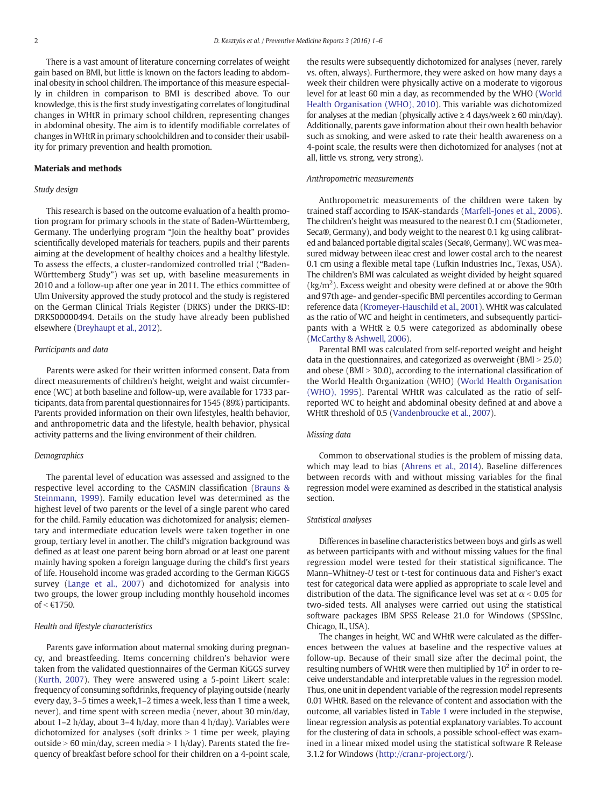There is a vast amount of literature concerning correlates of weight gain based on BMI, but little is known on the factors leading to abdominal obesity in school children. The importance of this measure especially in children in comparison to BMI is described above. To our knowledge, this is the first study investigating correlates of longitudinal changes in WHtR in primary school children, representing changes in abdominal obesity. The aim is to identify modifiable correlates of changes inWHtR in primary schoolchildren and to consider their usability for primary prevention and health promotion.

## Materials and methods

# Study design

This research is based on the outcome evaluation of a health promotion program for primary schools in the state of Baden-Württemberg, Germany. The underlying program "Join the healthy boat" provides scientifically developed materials for teachers, pupils and their parents aiming at the development of healthy choices and a healthy lifestyle. To assess the effects, a cluster-randomized controlled trial ("Baden-Württemberg Study") was set up, with baseline measurements in 2010 and a follow-up after one year in 2011. The ethics committee of Ulm University approved the study protocol and the study is registered on the German Clinical Trials Register (DRKS) under the DRKS-ID: DRKS00000494. Details on the study have already been published elsewhere ([Dreyhaupt et al., 2012\)](#page-4-0).

## Participants and data

Parents were asked for their written informed consent. Data from direct measurements of children's height, weight and waist circumference (WC) at both baseline and follow-up, were available for 1733 participants, data from parental questionnaires for 1545 (89%) participants. Parents provided information on their own lifestyles, health behavior, and anthropometric data and the lifestyle, health behavior, physical activity patterns and the living environment of their children.

### Demographics

The parental level of education was assessed and assigned to the respective level according to the CASMIN classification [\(Brauns &](#page-4-0) [Steinmann, 1999\)](#page-4-0). Family education level was determined as the highest level of two parents or the level of a single parent who cared for the child. Family education was dichotomized for analysis; elementary and intermediate education levels were taken together in one group, tertiary level in another. The child's migration background was defined as at least one parent being born abroad or at least one parent mainly having spoken a foreign language during the child's first years of life. Household income was graded according to the German KiGGS survey ([Lange et al., 2007\)](#page-5-0) and dichotomized for analysis into two groups, the lower group including monthly household incomes of  $<$  €1750.

#### Health and lifestyle characteristics

Parents gave information about maternal smoking during pregnancy, and breastfeeding. Items concerning children's behavior were taken from the validated questionnaires of the German KiGGS survey [\(Kurth, 2007\)](#page-5-0). They were answered using a 5-point Likert scale: frequency of consuming softdrinks, frequency of playing outside (nearly every day, 3–5 times a week,1–2 times a week, less than 1 time a week, never), and time spent with screen media (never, about 30 min/day, about 1–2 h/day, about 3–4 h/day, more than 4 h/day). Variables were dichotomized for analyses (soft drinks  $> 1$  time per week, playing outside  $> 60$  min/day, screen media  $> 1$  h/day). Parents stated the frequency of breakfast before school for their children on a 4-point scale, the results were subsequently dichotomized for analyses (never, rarely vs. often, always). Furthermore, they were asked on how many days a week their children were physically active on a moderate to vigorous level for at least 60 min a day, as recommended by the WHO ([World](#page-5-0) [Health Organisation \(WHO\), 2010\)](#page-5-0). This variable was dichotomized for analyses at the median (physically active  $\geq 4$  days/week  $\geq 60$  min/day). Additionally, parents gave information about their own health behavior such as smoking, and were asked to rate their health awareness on a 4-point scale, the results were then dichotomized for analyses (not at all, little vs. strong, very strong).

## Anthropometric measurements

Anthropometric measurements of the children were taken by trained staff according to ISAK-standards ([Marfell-Jones et al., 2006](#page-5-0)). The children's height was measured to the nearest 0.1 cm (Stadiometer, Seca®, Germany), and body weight to the nearest 0.1 kg using calibrated and balanced portable digital scales (Seca®, Germany).WC was measured midway between ileac crest and lower costal arch to the nearest 0.1 cm using a flexible metal tape (Lufkin Industries Inc., Texas, USA). The children's BMI was calculated as weight divided by height squared  $\text{kg/m}^2$ ). Excess weight and obesity were defined at or above the 90th and 97th age- and gender-specific BMI percentiles according to German reference data [\(Kromeyer-Hauschild et al., 2001\)](#page-5-0). WHtR was calculated as the ratio of WC and height in centimeters, and subsequently participants with a WHtR  $\geq$  0.5 were categorized as abdominally obese [\(McCarthy & Ashwell, 2006](#page-5-0)).

Parental BMI was calculated from self-reported weight and height data in the questionnaires, and categorized as overweight ( $BMI > 25.0$ ) and obese (BMI  $>$  30.0), according to the international classification of the World Health Organization (WHO) ([World Health Organisation](#page-5-0) [\(WHO\), 1995](#page-5-0)). Parental WHtR was calculated as the ratio of selfreported WC to height and abdominal obesity defined at and above a WHtR threshold of 0.5 [\(Vandenbroucke et al., 2007](#page-5-0)).

# Missing data

Common to observational studies is the problem of missing data, which may lead to bias ([Ahrens et al., 2014\)](#page-4-0). Baseline differences between records with and without missing variables for the final regression model were examined as described in the statistical analysis section.

# Statistical analyses

Differences in baseline characteristics between boys and girls as well as between participants with and without missing values for the final regression model were tested for their statistical significance. The Mann–Whitney-U test or t-test for continuous data and Fisher's exact test for categorical data were applied as appropriate to scale level and distribution of the data. The significance level was set at  $\alpha$  < 0.05 for two-sided tests. All analyses were carried out using the statistical software packages IBM SPSS Release 21.0 for Windows (SPSSInc, Chicago, IL, USA).

The changes in height, WC and WHtR were calculated as the differences between the values at baseline and the respective values at follow-up. Because of their small size after the decimal point, the resulting numbers of WHtR were then multiplied by  $10<sup>2</sup>$  in order to receive understandable and interpretable values in the regression model. Thus, one unit in dependent variable of the regression model represents 0.01 WHtR. Based on the relevance of content and association with the outcome, all variables listed in [Table 1](#page-2-0) were included in the stepwise, linear regression analysis as potential explanatory variables. To account for the clustering of data in schools, a possible school-effect was examined in a linear mixed model using the statistical software R Release 3.1.2 for Windows ([http://cran.r-project.org/](http://cran.r-roject.org/)).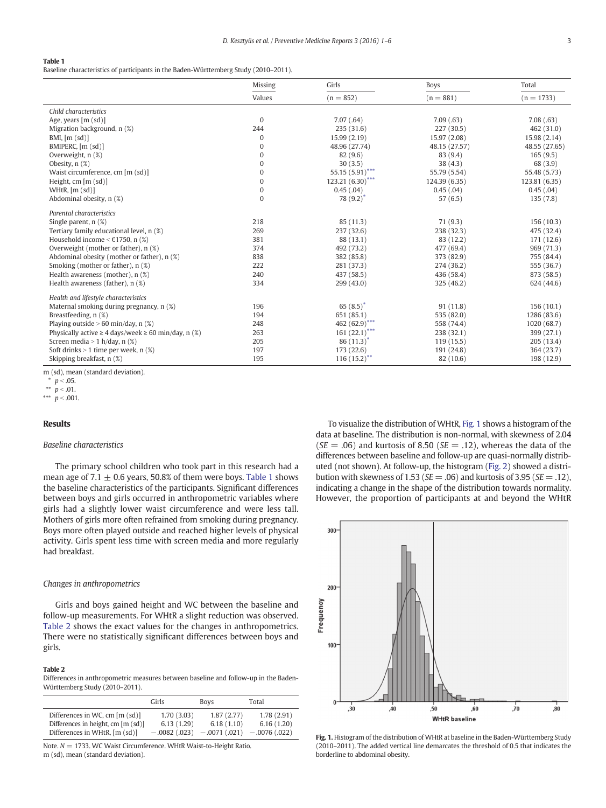#### <span id="page-2-0"></span>Table 1

Baseline characteristics of participants in the Baden-Württemberg Study (2010–2011).

|                                                               | Missing      | Girls                       | <b>Boys</b>   | Total         |
|---------------------------------------------------------------|--------------|-----------------------------|---------------|---------------|
|                                                               | Values       | $(n = 852)$                 | $(n = 881)$   | $(n = 1733)$  |
| Child characteristics                                         |              |                             |               |               |
| Age, years $[m (sd)]$                                         | $\mathbf{0}$ | 7.07(.64)                   | 7.09(.63)     | 7.08(.63)     |
| Migration background, n (%)                                   | 244          | 235 (31.6)                  | 227 (30.5)    | 462 (31.0)    |
| BMI, [m (sd)]                                                 | $\Omega$     | 15.99 (2.19)                | 15.97 (2.08)  | 15.98 (2.14)  |
| BMIPERC, [m (sd)]                                             | $\mathbf 0$  | 48.96 (27.74)               | 48.15 (27.57) | 48.55 (27.65) |
| Overweight, n (%)                                             | $\mathbf{0}$ | 82(9.6)                     | 83 (9.4)      | 165(9.5)      |
| Obesity, n (%)                                                | $\Omega$     | 30(3.5)                     | 38(4.3)       | 68 (3.9)      |
| Waist circumference, cm [m (sd)]                              | $\mathbf 0$  | 55.15 $(5.91)$ ***          | 55.79 (5.54)  | 55.48 (5.73)  |
| Height, $cm [m (sd)]$                                         | $\Omega$     | $123.21(6.30)$ ***          | 124.39 (6.35) | 123.81 (6.35) |
| WHtR, $[m (sd)]$                                              | $\bf{0}$     | 0.45(.04)                   | 0.45(.04)     | 0.45(.04)     |
| Abdominal obesity, n (%)                                      | $\Omega$     | 78 $(9.2)^*$                | 57(6.5)       | 135(7.8)      |
| Parental characteristics                                      |              |                             |               |               |
| Single parent, $n$ $(\%)$                                     | 218          | 85(11.3)                    | 71(9.3)       | 156(10.3)     |
| Tertiary family educational level, n (%)                      | 269          | 237 (32.6)                  | 238 (32.3)    | 475 (32.4)    |
| Household income $\leq \text{\textsterling}1750$ , n (%)      | 381          | 88 (13.1)                   | 83 (12.2)     | 171 (12.6)    |
| Overweight (mother or father), n (%)                          | 374          | 492 (73.2)                  | 477 (69.4)    | 969 (71.3)    |
| Abdominal obesity (mother or father), n (%)                   | 838          | 382 (85.8)                  | 373 (82.9)    | 755 (84.4)    |
| Smoking (mother or father), n (%)                             | 222          | 281 (37.3)                  | 274 (36.2)    | 555 (36.7)    |
| Health awareness (mother), n (%)                              | 240          | 437 (58.5)                  | 436 (58.4)    | 873 (58.5)    |
| Health awareness (father), $n$ (%)                            | 334          | 299 (43.0)                  | 325 (46.2)    | 624 (44.6)    |
| Health and lifestyle characteristics                          |              |                             |               |               |
| Maternal smoking during pregnancy, n (%)                      | 196          | 65 $(8.5)^*$                | 91 (11.8)     | 156(10.1)     |
| Breastfeeding, n (%)                                          | 194          | 651 (85.1)                  | 535 (82.0)    | 1286 (83.6)   |
| Playing outside $> 60$ min/day, n $(\%)$                      | 248          | 462 (62.9)***               | 558 (74.4)    | 1020 (68.7)   |
| Physically active $\geq 4$ days/week $\geq 60$ min/day, n (%) | 263          | $161 (22.1)$ <sup>***</sup> | 238 (32.1)    | 399 (27.1)    |
| Screen media > 1 h/day, n $(\%)$                              | 205          | $86(11.3)^*$                | 119(15.5)     | 205(13.4)     |
| Soft drinks $> 1$ time per week, n $(\%)$                     | 197          | 173 (22.6)                  | 191 (24.8)    | 364 (23.7)    |
| Skipping breakfast, n (%)                                     | 195          | $116(15.2)^*$               | 82 (10.6)     | 198 (12.9)    |

m (sd), mean (standard deviation).

\*\*\*  $p < .001$ .

# Results

# Baseline characteristics

The primary school children who took part in this research had a mean age of 7.1  $\pm$  0.6 years, 50.8% of them were boys. Table 1 shows the baseline characteristics of the participants. Significant differences between boys and girls occurred in anthropometric variables where girls had a slightly lower waist circumference and were less tall. Mothers of girls more often refrained from smoking during pregnancy. Boys more often played outside and reached higher levels of physical activity. Girls spent less time with screen media and more regularly had breakfast.

## Changes in anthropometrics

Girls and boys gained height and WC between the baseline and follow-up measurements. For WHtR a slight reduction was observed. Table 2 shows the exact values for the changes in anthropometrics. There were no statistically significant differences between boys and girls.

#### Table 2

Differences in anthropometric measures between baseline and follow-up in the Baden-Württemberg Study (2010–2011).

|                                    | Girls          | <b>Boys</b>    | Total          |
|------------------------------------|----------------|----------------|----------------|
| Differences in WC, cm [m (sd)]     | 1.70(3.03)     | 1.87(2.77)     | 1.78(2.91)     |
| Differences in height, cm [m (sd)] | 6.13(1.29)     | 6.18(1.10)     | 6.16(1.20)     |
| Differences in WHtR, [m (sd)]      | $-.0082(.023)$ | $-.0071(.021)$ | $-.0076(.022)$ |

Note.  $N = 1733$ . WC Waist Circumference. WHtR Waist-to-Height Ratio. m (sd), mean (standard deviation).

To visualize the distribution of WHtR, Fig. 1 shows a histogram of the data at baseline. The distribution is non-normal, with skewness of 2.04  $(SE = .06)$  and kurtosis of 8.50 ( $SE = .12$ ), whereas the data of the differences between baseline and follow-up are quasi-normally distributed (not shown). At follow-up, the histogram [\(Fig. 2\)](#page-3-0) showed a distribution with skewness of 1.53 ( $SE = .06$ ) and kurtosis of 3.95 ( $SE = .12$ ), indicating a change in the shape of the distribution towards normality. However, the proportion of participants at and beyond the WHtR



Fig. 1. Histogram of the distribution of WHtR at baseline in the Baden-Württemberg Study (2010–2011). The added vertical line demarcates the threshold of 0.5 that indicates the borderline to abdominal obesity.

 $p < .05$ .

<sup>\*\*</sup>  $p < .01$ .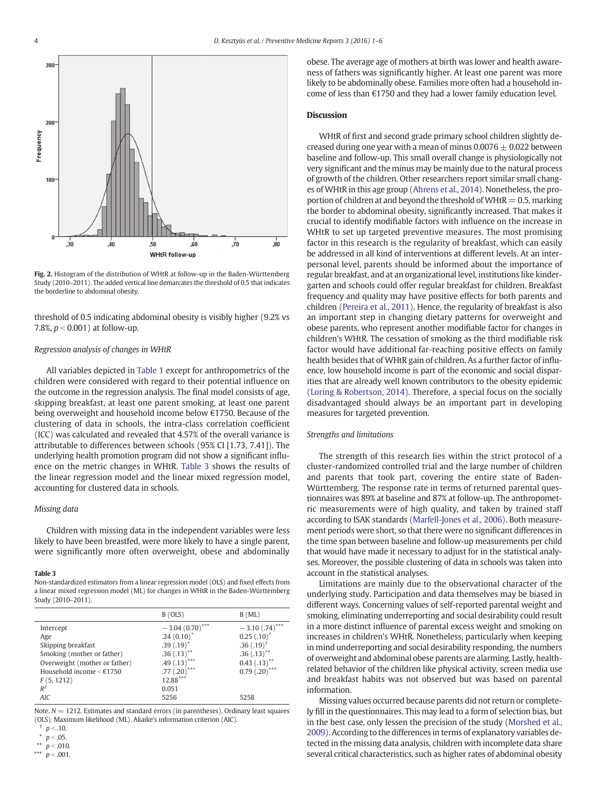<span id="page-3-0"></span>

Fig. 2. Histogram of the distribution of WHtR at follow-up in the Baden-Württemberg Study (2010–2011). The added vertical line demarcates the threshold of 0.5 that indicates the borderline to abdominal obesity.

threshold of 0.5 indicating abdominal obesity is visibly higher (9.2% vs 7.8%,  $p < 0.001$ ) at follow-up.

## Regression analysis of changes in WHtR

All variables depicted in [Table 1](#page-2-0) except for anthropometrics of the children were considered with regard to their potential influence on the outcome in the regression analysis. The final model consists of age, skipping breakfast, at least one parent smoking, at least one parent being overweight and household income below €1750. Because of the clustering of data in schools, the intra-class correlation coefficient (ICC) was calculated and revealed that 4.57% of the overall variance is attributable to differences between schools (95% CI [1.73, 7.41]). The underlying health promotion program did not show a significant influence on the metric changes in WHtR. Table 3 shows the results of the linear regression model and the linear mixed regression model, accounting for clustered data in schools.

# Missing data

Children with missing data in the independent variables were less likely to have been breastfed, were more likely to have a single parent, were significantly more often overweight, obese and abdominally

#### Table 3

Non-standardized estimators from a linear regression model (OLS) and fixed effects from a linear mixed regression model (ML) for changes in WHtR in the Baden-Württemberg Study (2010–2011).

|                               | B (OLS)           | $B$ (ML)                     |
|-------------------------------|-------------------|------------------------------|
| Intercept                     | $-3.04(0.70)$ *** | $-3.10(.74)$ ***             |
| Age                           | $.24(0.10)^*$     | $0.25$ $(.10)^*$             |
| Skipping breakfast            | $.39(.19)^*$      | $.36(.19)^{\dagger}$         |
| Smoking (mother or father)    | $.36(.13)$ **     | $.36(.13)$ **                |
| Overweight (mother or father) | $.49(.13)$ ***    | $0.43$ $(.13)$ <sup>**</sup> |
| Household income $\leq$ €1750 | $.77(.20)$ ***    | $0.79(.20)$ ***              |
| F(5, 1212)                    | 12.88***          |                              |
| $R^2$                         | 0.051             |                              |
| <b>AIC</b>                    | 5256              | 5258                         |

Note.  $N = 1212$ . Estimates and standard errors (in parentheses). Ordinary least squares (OLS). Maximum likelihood (ML). Akaike's information criterion (AIC).

\*\*  $p < .010$ .  $p < .001$ .

obese. The average age of mothers at birth was lower and health awareness of fathers was significantly higher. At least one parent was more likely to be abdominally obese. Families more often had a household income of less than €1750 and they had a lower family education level.

# **Discussion**

WHtR of first and second grade primary school children slightly decreased during one year with a mean of minus  $0.0076 \pm 0.022$  between baseline and follow-up. This small overall change is physiologically not very significant and the minus may be mainly due to the natural process of growth of the children. Other researchers report similar small changes of WHtR in this age group [\(Ahrens et al., 2014\)](#page-4-0). Nonetheless, the proportion of children at and beyond the threshold of WHtR  $= 0.5$ , marking the border to abdominal obesity, significantly increased. That makes it crucial to identify modifiable factors with influence on the increase in WHtR to set up targeted preventive measures. The most promising factor in this research is the regularity of breakfast, which can easily be addressed in all kind of interventions at different levels. At an interpersonal level, parents should be informed about the importance of regular breakfast, and at an organizational level, institutions like kindergarten and schools could offer regular breakfast for children. Breakfast frequency and quality may have positive effects for both parents and children ([Pereira et al., 2011\)](#page-5-0). Hence, the regularity of breakfast is also an important step in changing dietary patterns for overweight and obese parents, who represent another modifiable factor for changes in children's WHtR. The cessation of smoking as the third modifiable risk factor would have additional far-reaching positive effects on family health besides that of WHtR gain of children. As a further factor of influence, low household income is part of the economic and social disparities that are already well known contributors to the obesity epidemic [\(Loring & Robertson, 2014](#page-5-0)). Therefore, a special focus on the socially disadvantaged should always be an important part in developing measures for targeted prevention.

# Strengths and limitations

The strength of this research lies within the strict protocol of a cluster-randomized controlled trial and the large number of children and parents that took part, covering the entire state of Baden-Württemberg. The response rate in terms of returned parental questionnaires was 89% at baseline and 87% at follow-up. The anthropometric measurements were of high quality, and taken by trained staff according to ISAK standards [\(Marfell-Jones et al., 2006\)](#page-5-0). Both measurement periods were short, so that there were no significant differences in the time span between baseline and follow-up measurements per child that would have made it necessary to adjust for in the statistical analyses. Moreover, the possible clustering of data in schools was taken into account in the statistical analyses.

Limitations are mainly due to the observational character of the underlying study. Participation and data themselves may be biased in different ways. Concerning values of self-reported parental weight and smoking, eliminating underreporting and social desirability could result in a more distinct influence of parental excess weight and smoking on increases in children's WHtR. Nonetheless, particularly when keeping in mind underreporting and social desirability responding, the numbers of overweight and abdominal obese parents are alarming. Lastly, healthrelated behavior of the children like physical activity, screen media use and breakfast habits was not observed but was based on parental information.

Missing values occurred because parents did not return or completely fill in the questionnaires. This may lead to a form of selection bias, but in the best case, only lessen the precision of the study ([Morshed et al.,](#page-5-0) [2009\)](#page-5-0). According to the differences in terms of explanatory variables detected in the missing data analysis, children with incomplete data share several critical characteristics, such as higher rates of abdominal obesity

 $p < .10.$ 

 $p < .05.$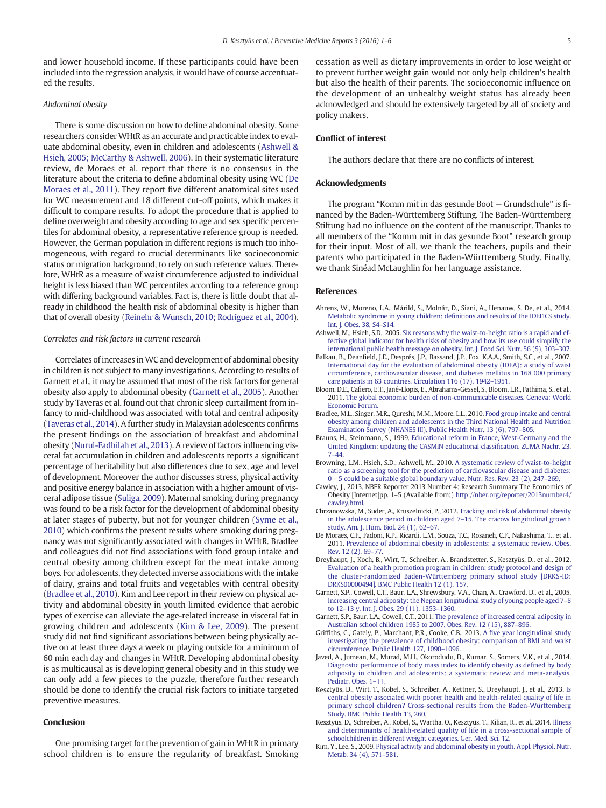<span id="page-4-0"></span>and lower household income. If these participants could have been included into the regression analysis, it would have of course accentuated the results.

## Abdominal obesity

There is some discussion on how to define abdominal obesity. Some researchers consider WHtR as an accurate and practicable index to evaluate abdominal obesity, even in children and adolescents (Ashwell & Hsieh, 2005; McCarthy & Ashwell, 2006). In their systematic literature review, de Moraes et al. report that there is no consensus in the literature about the criteria to define abdominal obesity using WC (De Moraes et al., 2011). They report five different anatomical sites used for WC measurement and 18 different cut-off points, which makes it difficult to compare results. To adopt the procedure that is applied to define overweight and obesity according to age and sex specific percentiles for abdominal obesity, a representative reference group is needed. However, the German population in different regions is much too inhomogeneous, with regard to crucial determinants like socioeconomic status or migration background, to rely on such reference values. Therefore, WHtR as a measure of waist circumference adjusted to individual height is less biased than WC percentiles according to a reference group with differing background variables. Fact is, there is little doubt that already in childhood the health risk of abdominal obesity is higher than that of overall obesity [\(Reinehr & Wunsch, 2010; Rodríguez et al., 2004](#page-5-0)).

## Correlates and risk factors in current research

Correlates of increases in WC and development of abdominal obesity in children is not subject to many investigations. According to results of Garnett et al., it may be assumed that most of the risk factors for general obesity also apply to abdominal obesity (Garnett et al., 2005). Another study by Taveras et al. found out that chronic sleep curtailment from infancy to mid-childhood was associated with total and central adiposity [\(Taveras et al., 2014](#page-5-0)). A further study in Malaysian adolescents confirms the present findings on the association of breakfast and abdominal obesity [\(Nurul-Fadhilah et al., 2013\)](#page-5-0). A review of factors influencing visceral fat accumulation in children and adolescents reports a significant percentage of heritability but also differences due to sex, age and level of development. Moreover the author discusses stress, physical activity and positive energy balance in association with a higher amount of visceral adipose tissue ([Suliga, 2009](#page-5-0)). Maternal smoking during pregnancy was found to be a risk factor for the development of abdominal obesity at later stages of puberty, but not for younger children [\(Syme et al.,](#page-5-0) [2010](#page-5-0)) which confirms the present results where smoking during pregnancy was not significantly associated with changes in WHtR. Bradlee and colleagues did not find associations with food group intake and central obesity among children except for the meat intake among boys. For adolescents, they detected inverse associations with the intake of dairy, grains and total fruits and vegetables with central obesity (Bradlee et al., 2010). Kim and Lee report in their review on physical activity and abdominal obesity in youth limited evidence that aerobic types of exercise can alleviate the age-related increase in visceral fat in growing children and adolescents (Kim & Lee, 2009). The present study did not find significant associations between being physically active on at least three days a week or playing outside for a minimum of 60 min each day and changes in WHtR. Developing abdominal obesity is as multicausal as is developing general obesity and in this study we can only add a few pieces to the puzzle, therefore further research should be done to identify the crucial risk factors to initiate targeted preventive measures.

# **Conclusion**

One promising target for the prevention of gain in WHtR in primary school children is to ensure the regularity of breakfast. Smoking cessation as well as dietary improvements in order to lose weight or to prevent further weight gain would not only help children's health but also the health of their parents. The socioeconomic influence on the development of an unhealthy weight status has already been acknowledged and should be extensively targeted by all of society and policy makers.

# Conflict of interest

The authors declare that there are no conflicts of interest.

# Acknowledgments

The program "Komm mit in das gesunde Boot — Grundschule" is financed by the Baden-Württemberg Stiftung. The Baden-Württemberg Stiftung had no influence on the content of the manuscript. Thanks to all members of the "Komm mit in das gesunde Boot" research group for their input. Most of all, we thank the teachers, pupils and their parents who participated in the Baden-Württemberg Study. Finally, we thank Sinéad McLaughlin for her language assistance.

#### References

- Ahrens, W., Moreno, L.A., Mårild, S., Molnár, D., Siani, A., Henauw, S. De, et al., 2014. [Metabolic syndrome in young children: de](http://refhub.elsevier.com/S2211-3355(15)00162-X/rf0245)finitions and results of the IDEFICS study. [Int. J. Obes. 38, S4](http://refhub.elsevier.com/S2211-3355(15)00162-X/rf0245)–S14.
- Ashwell, M., Hsieh, S.D., 2005. [Six reasons why the waist-to-height ratio is a rapid and ef](http://refhub.elsevier.com/S2211-3355(15)00162-X/rf0020)[fective global indicator for health risks of obesity and how its use could simplify the](http://refhub.elsevier.com/S2211-3355(15)00162-X/rf0020) [international public health message on obesity. Int. J. Food Sci. Nutr. 56 \(5\), 303](http://refhub.elsevier.com/S2211-3355(15)00162-X/rf0020)–307.
- Balkau, B., Deanfield, J.E., Després, J.P., Bassand, J.P., Fox, K.A.A., Smith, S.C., et al., 2007. [International day for the evaluation of abdominal obesity \(IDEA\): a study of waist](http://refhub.elsevier.com/S2211-3355(15)00162-X/rf0010) [circumference, cardiovascular disease, and diabetes mellitus in 168 000 primary](http://refhub.elsevier.com/S2211-3355(15)00162-X/rf0010) [care patients in 63 countries. Circulation 116 \(17\), 1942](http://refhub.elsevier.com/S2211-3355(15)00162-X/rf0010)–1951.
- Bloom, D.E., Cafiero, E.T., Jané-Llopis, E., Abrahams-Gessel, S., Bloom, L.R., Fathima, S., et al., 2011. [The global economic burden of non-communicable diseases. Geneva: World](http://refhub.elsevier.com/S2211-3355(15)00162-X/rf0255) [Economic Forum](http://refhub.elsevier.com/S2211-3355(15)00162-X/rf0255).
- Bradlee, M.L., Singer, M.R., Qureshi, M.M., Moore, L.L., 2010. [Food group intake and central](http://refhub.elsevier.com/S2211-3355(15)00162-X/rf0195) [obesity among children and adolescents in the Third National Health and Nutrition](http://refhub.elsevier.com/S2211-3355(15)00162-X/rf0195) [Examination Survey \(NHANES III\). Public Health Nutr. 13 \(6\), 797](http://refhub.elsevier.com/S2211-3355(15)00162-X/rf0195)–805.
- Brauns, H., Steinmann, S., 1999. [Educational reform in France, West-Germany and the](http://refhub.elsevier.com/S2211-3355(15)00162-X/rf0100) [United Kingdom: updating the CASMIN educational classi](http://refhub.elsevier.com/S2211-3355(15)00162-X/rf0100)fication. ZUMA Nachr. 23, 7–[44.](http://refhub.elsevier.com/S2211-3355(15)00162-X/rf0100)
- Browning, L.M., Hsieh, S.D., Ashwell, M., 2010. [A systematic review of waist-to-height](http://refhub.elsevier.com/S2211-3355(15)00162-X/rf0025) [ratio as a screening tool for the prediction of cardiovascular disease and diabetes:](http://refhub.elsevier.com/S2211-3355(15)00162-X/rf0025) [0 · 5 could be a suitable global boundary value. Nutr. Res. Rev. 23 \(2\), 247](http://refhub.elsevier.com/S2211-3355(15)00162-X/rf0025)–269.
- Cawley, J., 2013. NBER Reporter 2013 Number 4: Research Summary The Economics of Obesity [Internet]pp. 1–5 (Available from:) [http://nber.org/reporter/2013number4/](http://nber.org/reporter/2013number4/cawley.html) [cawley.html](http://nber.org/reporter/2013number4/cawley.html).
- Chrzanowska, M., Suder, A., Kruszelnicki, P., 2012. [Tracking and risk of abdominal obesity](http://refhub.elsevier.com/S2211-3355(15)00162-X/rf0065) [in the adolescence period in children aged 7](http://refhub.elsevier.com/S2211-3355(15)00162-X/rf0065)–15. The cracow longitudinal growth [study. Am. J. Hum. Biol. 24 \(1\), 62](http://refhub.elsevier.com/S2211-3355(15)00162-X/rf0065)–67.
- De Moraes, C.F., Fadoni, R.P., Ricardi, L.M., Souza, T.C., Rosaneli, C.F., Nakashima, T., et al., 2011. [Prevalence of abdominal obesity in adolescents: a systematic review. Obes.](http://refhub.elsevier.com/S2211-3355(15)00162-X/rf0155) [Rev. 12 \(2\), 69](http://refhub.elsevier.com/S2211-3355(15)00162-X/rf0155)–77.
- Dreyhaupt, J., Koch, B., Wirt, T., Schreiber, A., Brandstetter, S., Kesztyüs, D., et al., 2012. [Evaluation of a health promotion program in children: study protocol and design of](http://refhub.elsevier.com/S2211-3355(15)00162-X/rf0095) [the cluster-randomized Baden-Württemberg primary school study \[DRKS-ID:](http://refhub.elsevier.com/S2211-3355(15)00162-X/rf0095) [DRKS00000494\]. BMC Public Health 12 \(1\), 157.](http://refhub.elsevier.com/S2211-3355(15)00162-X/rf0095)
- Garnett, S.P., Cowell, C.T., Baur, L.A., Shrewsbury, V.A., Chan, A., Crawford, D., et al., 2005. [Increasing central adiposity: the Nepean longitudinal study of young people aged 7](http://refhub.elsevier.com/S2211-3355(15)00162-X/rf0170)–8 to 12–[13 y. Int. J. Obes. 29 \(11\), 1353](http://refhub.elsevier.com/S2211-3355(15)00162-X/rf0170)–1360.
- Garnett, S.P., Baur, L.A., Cowell, C.T., 2011. [The prevalence of increased central adiposity in](http://refhub.elsevier.com/S2211-3355(15)00162-X/rf0215) [Australian school children 1985 to 2007. Obes. Rev. 12 \(15\), 887](http://refhub.elsevier.com/S2211-3355(15)00162-X/rf0215)–896.
- Griffiths, C., Gately, P., Marchant, P.R., Cooke, C.B., 2013. A fi[ve year longitudinal study](http://refhub.elsevier.com/S2211-3355(15)00162-X/rf0030) [investigating the prevalence of childhood obesity: comparison of BMI and waist](http://refhub.elsevier.com/S2211-3355(15)00162-X/rf0030) [circumference. Public Health 127, 1090](http://refhub.elsevier.com/S2211-3355(15)00162-X/rf0030)–1096.
- Javed, A., Jumean, M., Murad, M.H., Okorodudu, D., Kumar, S., Somers, V.K., et al., 2014. [Diagnostic performance of body mass index to identify obesity as de](http://refhub.elsevier.com/S2211-3355(15)00162-X/rf0250)fined by body [adiposity in children and adolescents: a systematic review and meta-analysis.](http://refhub.elsevier.com/S2211-3355(15)00162-X/rf0250) [Pediatr. Obes. 1](http://refhub.elsevier.com/S2211-3355(15)00162-X/rf0250)–11.
- Kesztyüs, D., Wirt, T., Kobel, S., Schreiber, A., Kettner, S., Dreyhaupt, J., et al., 2013. [Is](http://refhub.elsevier.com/S2211-3355(15)00162-X/rf0220) [central obesity associated with poorer health and health-related quality of life in](http://refhub.elsevier.com/S2211-3355(15)00162-X/rf0220) [primary school children? Cross-sectional results from the Baden-Württemberg](http://refhub.elsevier.com/S2211-3355(15)00162-X/rf0220) [Study. BMC Public Health 13, 260.](http://refhub.elsevier.com/S2211-3355(15)00162-X/rf0220)
- Kesztyüs, D., Schreiber, A., Kobel, S., Wartha, O., Kesztyüs, T., Kilian, R., et al., 2014. [Illness](http://refhub.elsevier.com/S2211-3355(15)00162-X/rf0075) [and determinants of health-related quality of life in a cross-sectional sample of](http://refhub.elsevier.com/S2211-3355(15)00162-X/rf0075) [schoolchildren in different weight categories. Ger. Med. Sci. 12](http://refhub.elsevier.com/S2211-3355(15)00162-X/rf0075).
- Kim, Y., Lee, S., 2009. [Physical activity and abdominal obesity in youth. Appl. Physiol. Nutr.](http://refhub.elsevier.com/S2211-3355(15)00162-X/rf0200) [Metab. 34 \(4\), 571](http://refhub.elsevier.com/S2211-3355(15)00162-X/rf0200)–581.